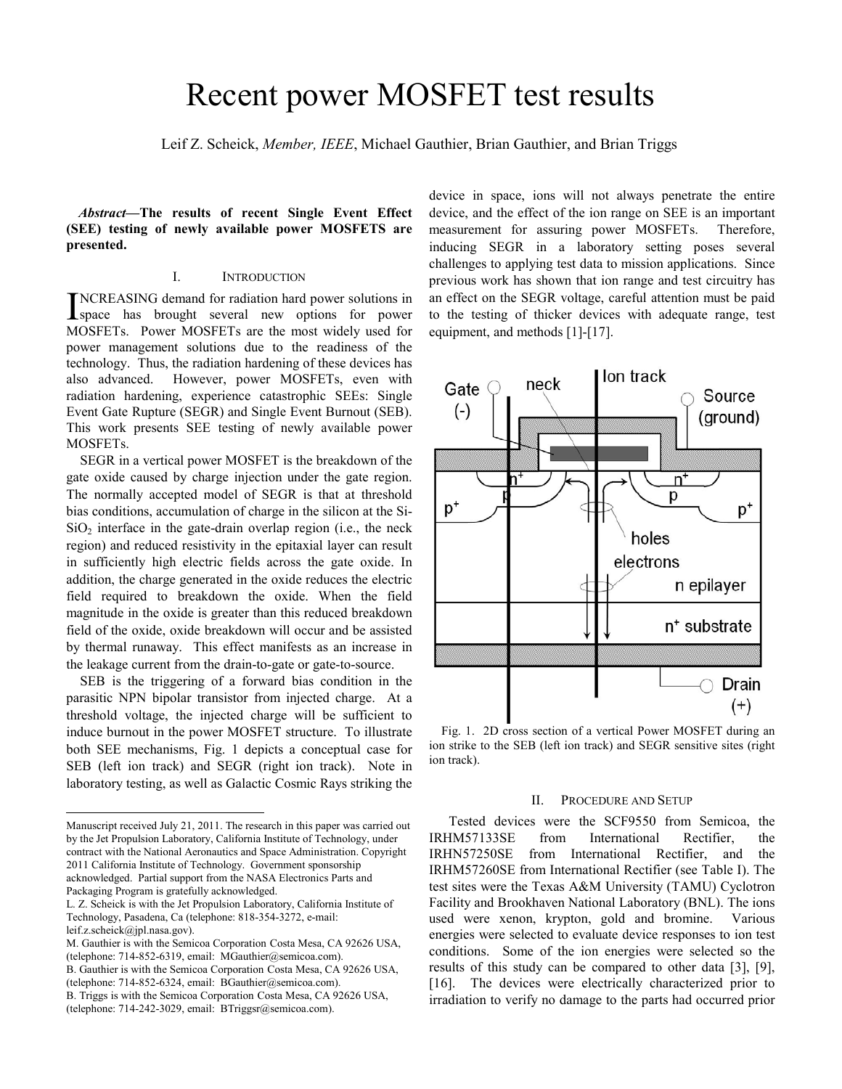# Recent power MOSFET test results

Leif Z. Scheick, *Member, IEEE*, Michael Gauthier, Brian Gauthier, and Brian Triggs

*Abstract—***The results of recent Single Event Effect (SEE) testing of newly available power MOSFETS are presented.**

# I. INTRODUCTION

NCREASING demand for radiation hard power solutions in **INCREASING** demand for radiation hard power solutions in space has brought several new options for power MOSFETs. Power MOSFETs are the most widely used for power management solutions due to the readiness of the technology. Thus, the radiation hardening of these devices has also advanced. However, power MOSFETs, even with radiation hardening, experience catastrophic SEEs: Single Event Gate Rupture (SEGR) and Single Event Burnout (SEB). This work presents SEE testing of newly available power MOSFETs.

SEGR in a vertical power MOSFET is the breakdown of the gate oxide caused by charge injection under the gate region. The normally accepted model of SEGR is that at threshold bias conditions, accumulation of charge in the silicon at the Si- $SiO<sub>2</sub>$  interface in the gate-drain overlap region (i.e., the neck region) and reduced resistivity in the epitaxial layer can result in sufficiently high electric fields across the gate oxide. In addition, the charge generated in the oxide reduces the electric field required to breakdown the oxide. When the field magnitude in the oxide is greater than this reduced breakdown field of the oxide, oxide breakdown will occur and be assisted by thermal runaway. This effect manifests as an increase in the leakage current from the drain-to-gate or gate-to-source.

SEB is the triggering of a forward bias condition in the parasitic NPN bipolar transistor from injected charge. At a threshold voltage, the injected charge will be sufficient to induce burnout in the power MOSFET structure. To illustrate both SEE mechanisms, Fig. 1 depicts a conceptual case for SEB (left ion track) and SEGR (right ion track). Note in laboratory testing, as well as Galactic Cosmic Rays striking the

-

device in space, ions will not always penetrate the entire device, and the effect of the ion range on SEE is an important measurement for assuring power MOSFETs. Therefore, inducing SEGR in a laboratory setting poses several challenges to applying test data to mission applications. Since previous work has shown that ion range and test circuitry has an effect on the SEGR voltage, careful attention must be paid to the testing of thicker devices with adequate range, test equipment, and methods [1]-[17].



Fig. 1. 2D cross section of a vertical Power MOSFET during an ion strike to the SEB (left ion track) and SEGR sensitive sites (right ion track).

## II. PROCEDURE AND SETUP

Tested devices were the SCF9550 from Semicoa, the IRHM57133SE from International Rectifier, the IRHN57250SE from International Rectifier, and the IRHM57260SE from International Rectifier (see Table I). The test sites were the Texas A&M University (TAMU) Cyclotron Facility and Brookhaven National Laboratory (BNL). The ions used were xenon, krypton, gold and bromine. Various energies were selected to evaluate device responses to ion test conditions. Some of the ion energies were selected so the results of this study can be compared to other data [3], [9], [16]. The devices were electrically characterized prior to irradiation to verify no damage to the parts had occurred prior

Manuscript received July 21, 2011. The research in this paper was carried out by the Jet Propulsion Laboratory, California Institute of Technology, under contract with the National Aeronautics and Space Administration. Copyright 2011 California Institute of Technology. Government sponsorship acknowledged. Partial support from the NASA Electronics Parts and Packaging Program is gratefully acknowledged.

L. Z. Scheick is with the Jet Propulsion Laboratory, California Institute of Technology, Pasadena, Ca (telephone: 818-354-3272, e-mail: leif.z.scheick@jpl.nasa.gov).

M. Gauthier is with the Semicoa Corporation Costa Mesa, CA 92626 USA, (telephone: 714-852-6319, email: MGauthier@semicoa.com).

B. Gauthier is with the Semicoa Corporation Costa Mesa, CA 92626 USA, (telephone: 714-852-6324, email: BGauthier@semicoa.com).

B. Triggs is with the Semicoa Corporation Costa Mesa, CA 92626 USA,

<sup>(</sup>telephone: 714-242-3029, email: BTriggsr@semicoa.com).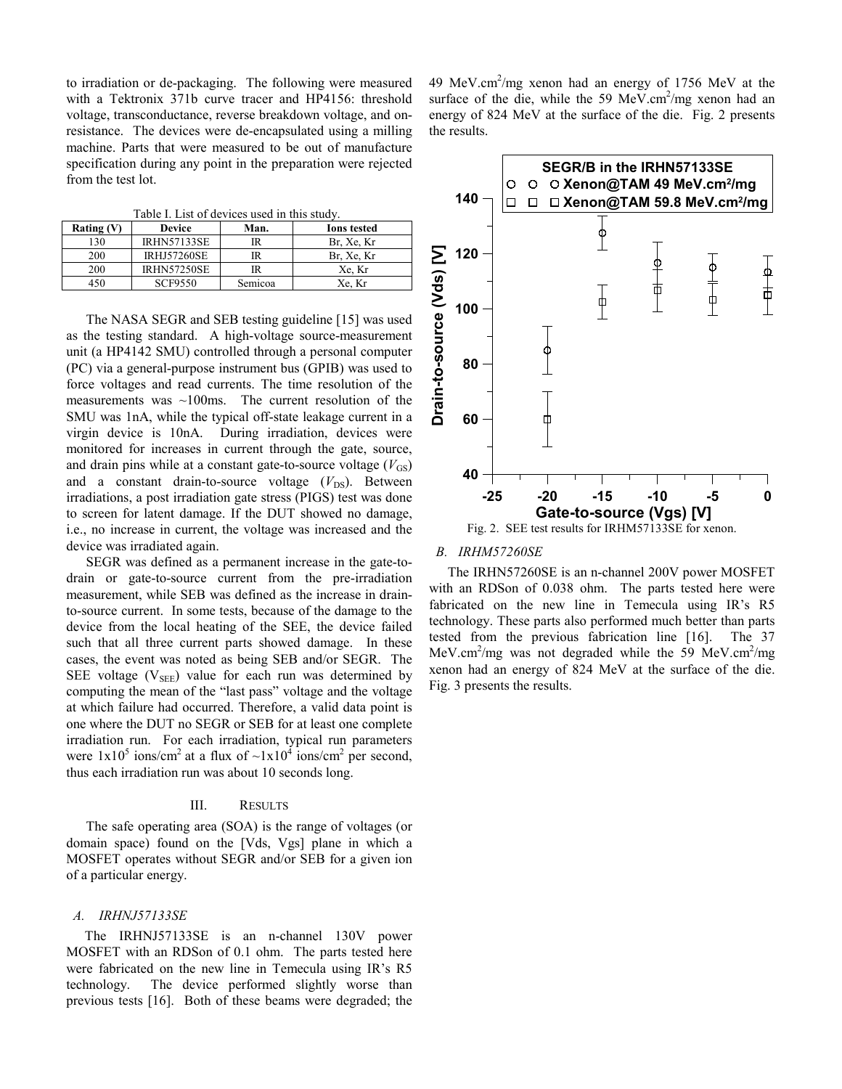to irradiation or de-packaging. The following were measured with a Tektronix 371b curve tracer and HP4156: threshold voltage, transconductance, reverse breakdown voltage, and onresistance. The devices were de-encapsulated using a milling machine. Parts that were measured to be out of manufacture specification during any point in the preparation were rejected from the test lot.

Table I. List of devices used in this study.

| Rating $(V)$ | <b>Device</b>      | Man.    | <b>Ions</b> tested |
|--------------|--------------------|---------|--------------------|
| 130          | <b>IRHN57133SE</b> |         | Br, Xe, Kr         |
| 200          | <b>IRHJ57260SE</b> |         | Br, Xe, Kr         |
| 200          | <b>IRHN57250SE</b> |         | Xe. Kr             |
| 450          | <b>SCF9550</b>     | Semicoa | Xe. Kr             |

The NASA SEGR and SEB testing guideline [15] was used as the testing standard. A high-voltage source-measurement unit (a HP4142 SMU) controlled through a personal computer (PC) via a general-purpose instrument bus (GPIB) was used to force voltages and read currents. The time resolution of the measurements was ~100ms. The current resolution of the SMU was 1nA, while the typical off-state leakage current in a virgin device is 10nA. During irradiation, devices were monitored for increases in current through the gate, source, and drain pins while at a constant gate-to-source voltage  $(V_{GS})$ and a constant drain-to-source voltage  $(V_{DS})$ . Between irradiations, a post irradiation gate stress (PIGS) test was done to screen for latent damage. If the DUT showed no damage, i.e., no increase in current, the voltage was increased and the device was irradiated again.

SEGR was defined as a permanent increase in the gate-todrain or gate-to-source current from the pre-irradiation measurement, while SEB was defined as the increase in drainto-source current. In some tests, because of the damage to the device from the local heating of the SEE, the device failed such that all three current parts showed damage. In these cases, the event was noted as being SEB and/or SEGR. The SEE voltage  $(V_{\text{SEE}})$  value for each run was determined by computing the mean of the "last pass" voltage and the voltage at which failure had occurred. Therefore, a valid data point is one where the DUT no SEGR or SEB for at least one complete irradiation run. For each irradiation, typical run parameters were  $1x10^5$  ions/cm<sup>2</sup> at a flux of  $\sim 1x10^4$  ions/cm<sup>2</sup> per second, thus each irradiation run was about 10 seconds long.

#### III. RESULTS

The safe operating area (SOA) is the range of voltages (or domain space) found on the [Vds, Vgs] plane in which a MOSFET operates without SEGR and/or SEB for a given ion of a particular energy.

#### *A. IRHNJ57133SE*

The IRHNJ57133SE is an n-channel 130V power MOSFET with an RDSon of 0.1 ohm. The parts tested here were fabricated on the new line in Temecula using IR's R5 technology. The device performed slightly worse than previous tests [16]. Both of these beams were degraded; the

49 MeV.cm<sup>2</sup>/mg xenon had an energy of 1756 MeV at the surface of the die, while the 59 MeV.cm<sup>2</sup>/mg xenon had an energy of 824 MeV at the surface of the die. Fig. 2 presents the results.



## *B. IRHM57260SE*

The IRHN57260SE is an n-channel 200V power MOSFET with an RDSon of 0.038 ohm. The parts tested here were fabricated on the new line in Temecula using IR's R5 technology. These parts also performed much better than parts tested from the previous fabrication line [16]. The 37 MeV.cm<sup>2</sup>/mg was not degraded while the 59 MeV.cm<sup>2</sup>/mg xenon had an energy of 824 MeV at the surface of the die. Fig. 3 presents the results.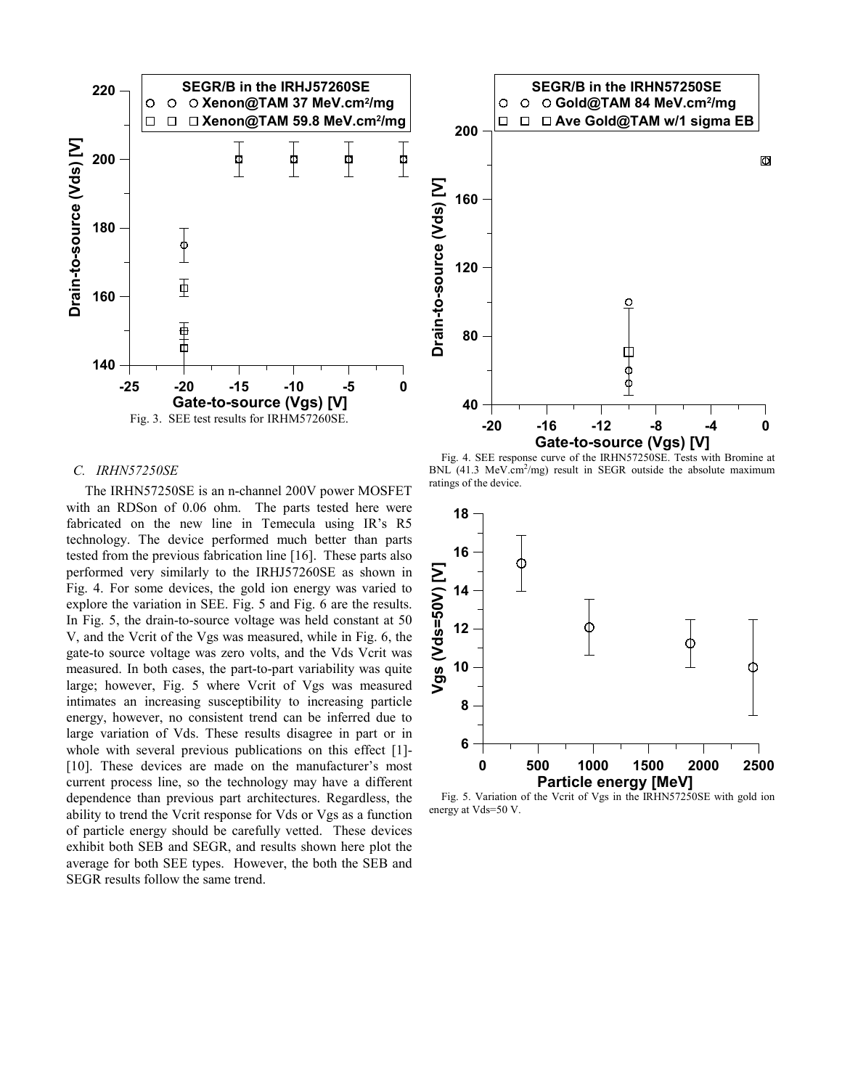

#### *C. IRHN57250SE*

The IRHN57250SE is an n-channel 200V power MOSFET with an RDSon of 0.06 ohm. The parts tested here were fabricated on the new line in Temecula using IR's R5 technology. The device performed much better than parts tested from the previous fabrication line [16]. These parts also performed very similarly to the IRHJ57260SE as shown in Fig. 4. For some devices, the gold ion energy was varied to explore the variation in SEE. Fig. 5 and Fig. 6 are the results. In Fig. 5, the drain-to-source voltage was held constant at 50 V, and the Vcrit of the Vgs was measured, while in Fig. 6, the gate-to source voltage was zero volts, and the Vds Vcrit was measured. In both cases, the part-to-part variability was quite large; however, Fig. 5 where Vcrit of Vgs was measured intimates an increasing susceptibility to increasing particle energy, however, no consistent trend can be inferred due to large variation of Vds. These results disagree in part or in whole with several previous publications on this effect [1]-[10]. These devices are made on the manufacturer's most current process line, so the technology may have a different dependence than previous part architectures. Regardless, the ability to trend the Vcrit response for Vds or Vgs as a function of particle energy should be carefully vetted. These devices exhibit both SEB and SEGR, and results shown here plot the average for both SEE types. However, the both the SEB and SEGR results follow the same trend.



Fig. 4. SEE response curve of the IRHN57250SE. Tests with Bromine at BNL (41.3 MeV.cm<sup>2</sup>/mg) result in SEGR outside the absolute maximum ratings of the device.



Fig. 5. Variation of the Vcrit of Vgs in the IRHN57250SE with gold ion energy at Vds=50 V.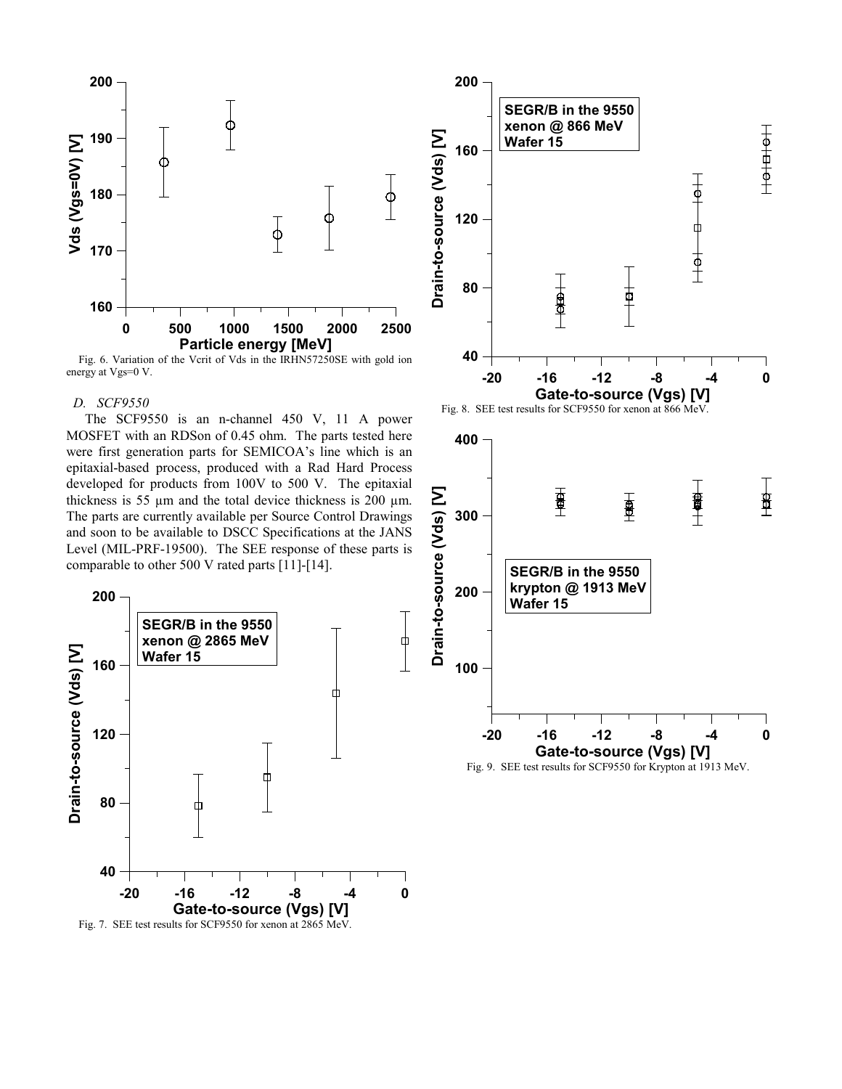

Fig. 6. Variation of the Vcrit of Vds in the IRHN57250SE with gold ion energy at Vgs=0 V.

#### *D. SCF9550*

The SCF9550 is an n-channel 450 V, 11 A power MOSFET with an RDSon of 0.45 ohm. The parts tested here were first generation parts for SEMICOA's line which is an epitaxial-based process, produced with a Rad Hard Process developed for products from 100V to 500 V. The epitaxial thickness is 55  $\mu$ m and the total device thickness is 200  $\mu$ m. The parts are currently available per Source Control Drawings and soon to be available to DSCC Specifications at the JANS Level (MIL-PRF-19500). The SEE response of these parts is comparable to other 500 V rated parts [11]-[14].



Fig. 7. SEE test results for SCF9550 for xenon at 2865 MeV.

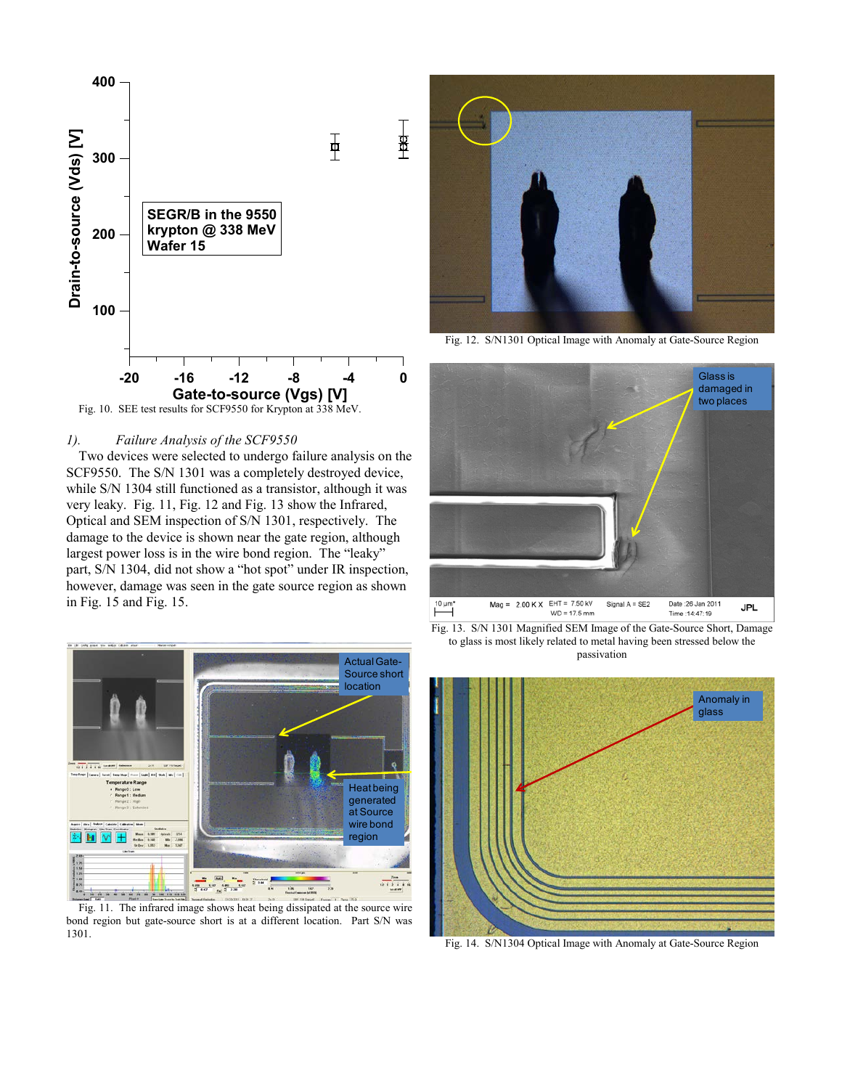

## *1). Failure Analysis of the SCF9550*

Two devices were selected to undergo failure analysis on the SCF9550. The S/N 1301 was a completely destroyed device, while S/N 1304 still functioned as a transistor, although it was very leaky. Fig. 11, Fig. 12 and Fig. 13 show the Infrared, Optical and SEM inspection of S/N 1301, respectively. The damage to the device is shown near the gate region, although largest power loss is in the wire bond region. The "leaky" part, S/N 1304, did not show a "hot spot" under IR inspection, however, damage was seen in the gate source region as shown in Fig. 15 and Fig. 15.



Fig. 11. The infrared image shows heat being dissipated at the source wire bond region but gate-source short is at a different location. Part S/N was 1301.



Fig. 12. S/N1301 Optical Image with Anomaly at Gate-Source Region



Fig. 13. S/N 1301 Magnified SEM Image of the Gate-Source Short, Damage to glass is most likely related to metal having been stressed below the passivation



Fig. 14. S/N1304 Optical Image with Anomaly at Gate-Source Region